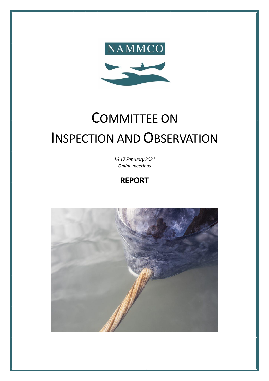

# COMMITTEE ON INSPECTION AND OBSERVATION

*16-17 February 2021 Online meetings*

## **REPORT**

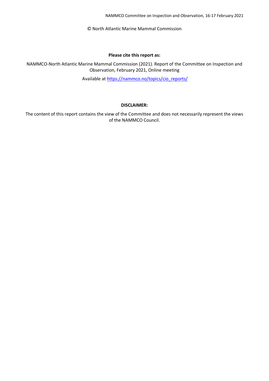NAMMCO Committee on Inspection and Observation, 16-17 February 2021

© North Atlantic Marine Mammal Commission

#### **Please cite this report as:**

NAMMCO-North Atlantic Marine Mammal Commission (2021). Report of the Committee on Inspection and Observation, February 2021, Online meeting

Available at [https://nammco.no/topics/cio\\_reports/](https://nammco.no/topics/cio_reports/)

#### **DISCLAIMER:**

The content of this report contains the view of the Committee and does not necessarily represent the views of the NAMMCO Council.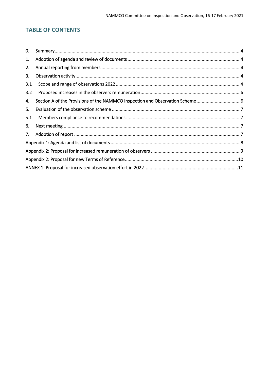## **TABLE OF CONTENTS**

| 0.  |                                                                               |  |  |  |  |  |  |
|-----|-------------------------------------------------------------------------------|--|--|--|--|--|--|
| 1.  |                                                                               |  |  |  |  |  |  |
| 2.  |                                                                               |  |  |  |  |  |  |
| 3.  |                                                                               |  |  |  |  |  |  |
| 3.1 |                                                                               |  |  |  |  |  |  |
| 3.2 |                                                                               |  |  |  |  |  |  |
| 4.  | Section A of the Provisions of the NAMMCO Inspection and Observation Scheme 6 |  |  |  |  |  |  |
| 5.  |                                                                               |  |  |  |  |  |  |
| 5.1 |                                                                               |  |  |  |  |  |  |
| 6.  |                                                                               |  |  |  |  |  |  |
| 7.  |                                                                               |  |  |  |  |  |  |
|     |                                                                               |  |  |  |  |  |  |
|     |                                                                               |  |  |  |  |  |  |
|     |                                                                               |  |  |  |  |  |  |
|     |                                                                               |  |  |  |  |  |  |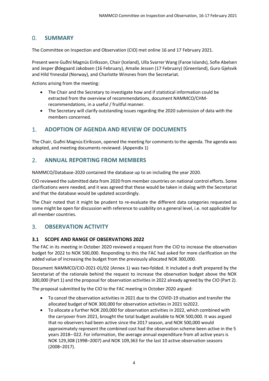## <span id="page-3-0"></span>0. **SUMMARY**

The Committee on Inspection and Observation (CIO) met online 16 and 17 February 2021.

Present were Guðni Magnús Eiríksson, Chair (Iceland), Ulla Svarrer Wang (Faroe Islands), Sofie Abelsen and Jesper Ødegaard Jakobsen (16 February), Amalie Jessen (17 February) (Greenland), Guro Gjelsvik and Hild Ynnesdal (Norway), and Charlotte Winsnes from the Secretariat.

Actions arising from the meeting:

- The Chair and the Secretary to investigate how and if statistical information could be extracted from the overview of recommendations, document NAMMCO/CHMrecommendations, in a useful / fruitful manner.
- The Secretary will clarify outstanding issues regarding the 2020 submission of data with the members concerned.

## <span id="page-3-1"></span>1. **ADOPTION OF AGENDA AND REVIEW OF DOCUMENTS**

The Chair, Guðni Magnús Eiríksson, opened the meeting for comments to the agenda. The agenda was adopted, and meeting documents reviewed. (Appendix 1)

## <span id="page-3-2"></span>2. **ANNUAL REPORTING FROM MEMBERS**

NAMMCO/Database-2020 contained the database up to an including the year 2020.

CIO reviewed the submitted data from 2020 from member countries on national control efforts. Some clarifications were needed, and it was agreed that these would be taken in dialog with the Secretariat and that the database would be updated accordingly.

The Chair noted that it might be prudent to re-evaluate the different data categories requested as some might be open for discussion with reference to usability on a general level, i.e. not applicable for all member countries.

## <span id="page-3-3"></span>3. **OBSERVATION ACTIVITY**

#### <span id="page-3-4"></span>**3.1 SCOPE AND RANGE OF OBSERVATIONS 2022**

The FAC in its meeting in October 2020 reviewed a request from the CIO to increase the observation budget for 2022 to NOK 500,000. Responding to this the FAC had asked for more clarification on the added value of increasing the budget from the previously allocated NOK 300,000.

Document NAMMCO/CIO-2021-01/02 (Annex 1) was two-folded. It included a draft prepared by the Secretariat of the rationale behind the request to increase the observation budget above the NOK 300,000 (Part 1) and the proposal for observation activities in 2022 already agreed by the CIO (Part 2).

The proposal submitted by the CIO to the FAC meeting in October 2020 argued:

- To cancel the observation activities in 2021 due to the COVID-19 situation and transfer the allocated budget of NOK 300,000 for observation activities in 2021 to2022.
- To allocate a further NOK 200,000 for observation activities in 2022, which combined with the carryover from 2021, brought the total budget available to NOK 500,000. It was argued that no observers had been active since the 2017 season, and NOK 500,000 would approximately represent the combined cost had the observation scheme been active in the 5 years 2018– 022. For information, the average annual expenditure from all active years is NOK 129,308 (1998–2007) and NOK 109,363 for the last 10 active observation seasons (2008–2017).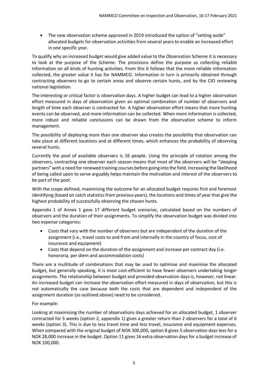• The new observation scheme approved in 2019 introduced the option of "setting aside" allocated budgets for observation activities from several years to enable an increased effort in one specific year.

To qualify why an increased budget would give added value to the Observation Scheme it is necessary to look at the purpose of the Scheme. The provisions define the purpose as collecting reliable information on all kinds of hunting activities. From this it follows that the more reliable information collected, the greater value it has for NAMMCO. Information in turn is primarily obtained through contracting observers to go to certain areas and observe certain hunts, and by the CIO reviewing national legislation.

The interesting or critical factor is observation days. A higher budget can lead to a higher observation effort measured in days of observation given an optimal combination of number of observers and length of time each observer is contracted for. A higher observation effort means that more hunting events can be observed, and more information can be collected. When more information is collected, more robust and reliable conclusions can be drawn from the observation scheme to inform management.

The possibility of deploying more than one observer also creates the possibility that observation can take place at different locations and at different times, which enhances the probability of observing several hunts.

Currently the pool of available observers is 16 people. Using the principle of rotation among the observers, contracting one observer each season means that most of the observers will be "sleeping partners" with a need for renewed training courses before going into the field. Increasing the likelihood of being called upon to serve arguably helps maintain the motivation and interest of the observers to be part of the pool.

With the scope defined, maximising the outcome for an allocated budget requires first and foremost identifying (based on catch statistics from previous years), the locations and times of year that give the highest probability of successfully observing the chosen hunts.

Appendix 1 of Annex 1 gave 17 different budget scenarios, calculated based on the numbers of observers and the duration of their assignments. To simplify the observation budget was divided into two expense categories:

- Costs that vary with the number of observers but are independent of the duration of the assignment (i.e., travel costs to and from and internally in the country of focus, cost of insurance and equipment)
- Costs that depend on the duration of the assignment and increase per contract day (i.e. honoraria, per diem and accommodation costs)

There are a multitude of combinations that may be used to optimise and maximise the allocated budget, but generally speaking, it is most cost-efficient to have fewer observers undertaking longer assignments. The relationship between budget and provided observation days is, however, not linear. An increased budget can increase the observation effort measured in days of observation, but this is not automatically the case because both the costs that are dependent and independent of the assignment duration (as outlined above) need to be considered.

#### For example:

Looking at maximising the number of observations days achieved for an allocated budget, 1 observer contracted for 5 weeks (option 2, appendix 1) gives a greater return than 2 observers for a total of 6 weeks (option 3). This is due to less travel time and less travel, insurance and equipment expenses. When compared with the original budget of NOK 300,000, option 8 gives 5 observation days less for a NOK 28,000 increase in the budget. Option 11 gives 16 extra observation days for a budget increase of NOK 100,000.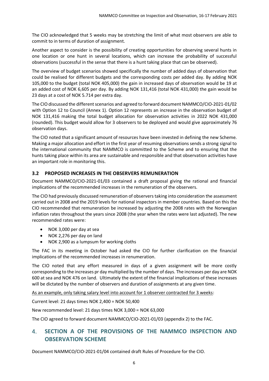The CIO acknowledged that 5 weeks may be stretching the limit of what most observers are able to commit to in terms of duration of assignment.

Another aspect to consider is the possibility of creating opportunities for observing several hunts in one location or one hunt in several locations, which can increase the probability of successful observations (successful in the sense that there is a hunt taking place that can be observed).

The overview of budget scenarios showed specifically the number of added days of observation that could be realised for different budgets and the corresponding costs per added day. By adding NOK 105,000 to the budget (total NOK 405,000) the gain in increased days of observation would be 19 at an added cost of NOK 6,605 per day. By adding NOK 131,416 (total NOK 431,000) the gain would be 23 days at a cost of NOK 5.714 per extra day.

The CIO discussed the different scenarios and agreed to forward document NAMMCO/CIO-2021-01/02 with Option 12 to Council (Annex 1). Option 12 represents an increase in the observation budget of NOK 131,416 making the total budget allocation for observation activities in 2022 NOK 431,000 (rounded). This budget would allow for 3 observers to be deployed and would give approximately 76 observation days.

The CIO noted that a significant amount of resources have been invested in defining the new Scheme. Making a major allocation and effort in the first year of resuming observations sends a strong signal to the international community that NAMMCO is committed to the Scheme and to ensuring that the hunts taking place within its area are sustainable and responsible and that observation activities have an important role in monitoring this.

#### <span id="page-5-0"></span>**3.2 PROPOSED INCREASES IN THE OBSERVERS REMUNERATION**

Document NAMMCO/CIO-2021-01/03 contained a draft proposal giving the rational and financial implications of the recommended increases in the remuneration of the observers.

The CIO had previously discussed remuneration of observers taking into consideration the assessment carried out in 2008 and the 2019 levels for national inspectors in member countries. Based on this the CIO recommended that remuneration be increased by adjusting the 2008 rates with the Norwegian inflation rates throughout the years since 2008 (the year when the rates were last adjusted). The new recommended rates were:

- NOK 3,000 per day at sea
- NOK 2,276 per day on land
- NOK 2,900 as a lumpsum for working cloths

The FAC in its meeting in October had asked the CIO for further clarification on the financial implications of the recommended increases in renumeration.

The CIO noted that any effort measured in days of a given assignment will be more costly corresponding to the increases pr day multiplied by the number of days. The increases per day are NOK 600 at sea and NOK 476 on land. Ultimately the extent of the financial implications of these increases will be dictated by the number of observers and duration of assignments at any given time.

As an example, only taking salary level into account for 1 observer contracted for 3 weeks:

Current level: 21 days times NOK 2,400 = NOK 50,400

New recommended level: 21 days times NOK 3,000 = NOK 63,000

The CIO agreed to forward document NAMMCO/CIO-2021-01/03 (appendix 2) to the FAC.

## <span id="page-5-1"></span>4. **SECTION A OF THE PROVISIONS OF THE NAMMCO INSPECTION AND OBSERVATION SCHEME**

Document NAMMCO/CIO-2021-01/04 contained draft Rules of Procedure for the CIO.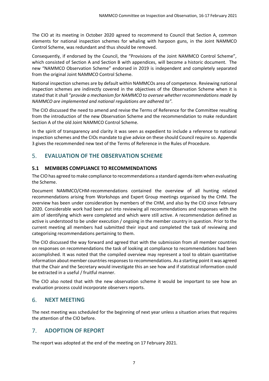The CIO at its meeting in October 2020 agreed to recommend to Council that Section A, common elements for national inspection schemes for whaling with harpoon guns, in the Joint NAMMCO Control Scheme, was redundant and thus should be removed.

Consequently, if endorsed by the Council, the "Provisions of the Joint NAMMCO Control Scheme", which consisted of Section A and Section B with appendices, will become a historic document. The new "NAMMCO Observation Scheme" endorsed in 2019 is independent and completely separated from the original Joint NAMMCO Control Scheme.

National inspection schemes are by default within NAMMCOs area of competence. Reviewing national inspection schemes are indirectly covered in the objectives of the Observation Scheme when it is stated that it shall "*provide a mechanism for NAMMCO to oversee whether recommendations made by NAMMCO are implemented and national regulations are adhered to".*

The CIO discussed the need to amend and revise the Terms of Reference for the Committee resulting from the introduction of the new Observation Scheme and the recommendation to make redundant Section A of the old Joint NAMMCO Control Scheme.

In the spirit of transparency and clarity it was seen as expedient to include a reference to national inspection schemes and the CIOs mandate to give advice on these should Council require so. Appendix 3 gives the recommended new text of the Terms of Reference in the Rules of Procedure.

## <span id="page-6-0"></span>5. **EVALUATION OF THE OBSERVATION SCHEME**

#### <span id="page-6-1"></span>**5.1 MEMBERS COMPLIANCE TO RECOMMENDATIONS**

The CIO has agreed to make compliance to recommendations a standard agenda item when evaluating the Scheme.

Document NAMMCO/CHM-recommendations contained the overview of all hunting related recommendations arising from Workshops and Expert Group meetings organised by the CHM. The overview has been under consideration by members of the CHM, and also by the CIO since February 2020. Considerable work had been put into reviewing all recommendations and responses with the aim of identifying which were completed and which were still active. A recommendation defined as active is understood to be under execution / ongoing in the member country in question. Prior to the current meeting all members had submitted their input and completed the task of reviewing and categorising recommendations pertaining to them.

The CIO discussed the way forward and agreed that with the submission from all member countries on responses on recommendations the task of looking at compliance to recommendations had been accomplished. It was noted that the compiled overview may represent a tool to obtain quantitative information about member countries responsesto recommendations. As a starting point it was agreed that the Chair and the Secretary would investigate this an see how and if statistical information could be extracted in a useful / fruitful manner.

The CIO also noted that with the new observation scheme it would be important to see how an evaluation process could incorporate observers reports.

## <span id="page-6-2"></span>6. **NEXT MEETING**

The next meeting was scheduled for the beginning of next year unless a situation arises that requires the attention of the CIO before.

## <span id="page-6-3"></span>7. **ADOPTION OF REPORT**

The report was adopted at the end of the meeting on 17 February 2021.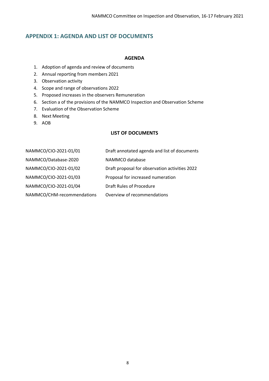## <span id="page-7-0"></span>**APPENDIX 1: AGENDA AND LIST OF DOCUMENTS**

#### **AGENDA**

- 1. Adoption of agenda and review of documents
- 2. Annual reporting from members 2021
- 3. Observation activity
- 4. Scope and range of observations 2022
- 5. Proposed increases in the observers Remuneration
- 6. Section a of the provisions of the NAMMCO Inspection and Observation Scheme
- 7. Evaluation of the Observation Scheme
- 8. Next Meeting
- 9. AOB

## **LIST OF DOCUMENTS**

| NAMMCO/CIO-2021-01/01      | Draft annotated agenda and list of documents   |
|----------------------------|------------------------------------------------|
| NAMMCO/Database-2020       | NAMMCO database                                |
| NAMMCO/CIO-2021-01/02      | Draft proposal for observation activities 2022 |
| NAMMCO/CIO-2021-01/03      | Proposal for increased numeration              |
| NAMMCO/CIO-2021-01/04      | Draft Rules of Procedure                       |
| NAMMCO/CHM-recommendations | Overview of recommendations                    |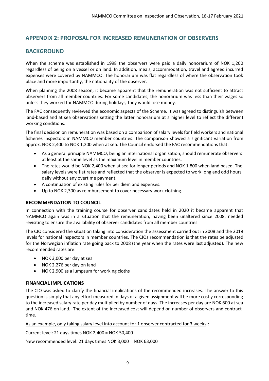## <span id="page-8-0"></span>**APPENDIX 2: PROPOSAL FOR INCREASED REMUNERATION OF OBSERVERS**

## **BACKGROUND**

When the scheme was established in 1998 the observers were paid a daily honorarium of NOK 1,200 regardless of being on a vessel or on land. In addition, meals, accommodation, travel and agreed incurred expenses were covered by NAMMCO. The honorarium was flat regardless of where the observation took place and more importantly, the nationality of the observer.

When planning the 2008 season, it became apparent that the remuneration was not sufficient to attract observers from all member countries. For some candidates, the honorarium was less than their wages so unless they worked for NAMMCO during holidays, they would lose money.

The FAC consequently reviewed the economic aspects of the Scheme. It was agreed to distinguish between land-based and at sea observations setting the latter honorarium at a higher level to reflect the different working conditions.

The final decision on remuneration was based on a comparison of salary levels for field workers and national fisheries inspectors in NAMMCO member countries. The comparison showed a significant variation from approx. NOK 2,400 to NOK 1,200 when at sea. The Council endorsed the FAC recommendations that:

- As a general principle NAMMCO, being an international organisation, should remunerate observers at least at the same level as the maximum level in member countries.
- The rates would be NOK 2,400 when at sea for longer periods and NOK 1,800 when land based. The salary levels were flat rates and reflected that the observer is expected to work long and odd hours daily without any overtime payment.
- A continuation of existing rules for per diem and expenses.
- Up to NOK 2,300 as reimbursement to cover necessary work clothing.

## **RECOMMENDATION TO COUNCIL**

In connection with the training course for observer candidates held in 2020 it became apparent that NAMMCO again was in a situation that the remuneration, having been unaltered since 2008, needed revisiting to ensure the availability of observer candidates from all member countries.

The CIO considered the situation taking into consideration the assessment carried out in 2008 and the 2019 levels for national inspectors in member countries. The CIOs recommendation is that the rates be adjusted for the Norwegian inflation rate going back to 2008 (the year when the rates were last adjusted). The new recommended rates are:

- NOK 3,000 per day at sea
- NOK 2,276 per day on land
- NOK 2,900 as a lumpsum for working cloths

## **FINANCIAL IMPLICATIONS**

The CIO was asked to clarify the financial implications of the recommended increases. The answer to this question is simply that any effort measured in days of a given assignment will be more costly corresponding to the increased salary rate per day multiplied by number of days. The increases per day are NOK 600 at sea and NOK 476 on land. The extent of the increased cost will depend on number of observers and contracttime.

As an example, only taking salary level into account for 1 observer contracted for 3 weeks.:

Current level: 21 days times NOK 2,400 = NOK 50,400

New recommended level: 21 days times NOK 3,000 = NOK 63,000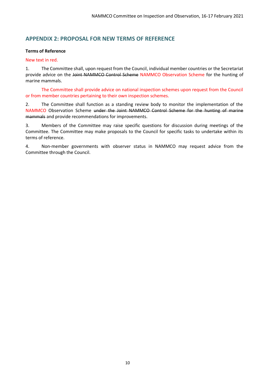## <span id="page-9-0"></span>**APPENDIX 2: PROPOSAL FOR NEW TERMS OF REFERENCE**

#### **Terms of Reference**

#### New text in red.

1. The Committee shall, upon request from the Council, individual member countries or the Secretariat provide advice on the Joint NAMMCO Control Scheme NAMMCO Observation Scheme for the hunting of marine mammals.

The Committee shall provide advice on national inspection schemes upon request from the Council or from member countries pertaining to their own inspection schemes.

2. The Committee shall function as a standing review body to monitor the implementation of the NAMMCO Observation Scheme under the Joint NAMMCO Control Scheme for the hunting of marine mammals and provide recommendations for improvements.

3. Members of the Committee may raise specific questions for discussion during meetings of the Committee. The Committee may make proposals to the Council for specific tasks to undertake within its terms of reference.

4. Non-member governments with observer status in NAMMCO may request advice from the Committee through the Council.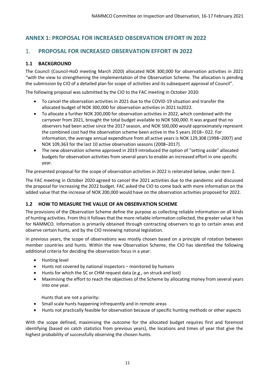## <span id="page-10-0"></span>**ANNEX 1: PROPOSAL FOR INCREASED OBSERVATION EFFORT IN 2022**

## 1. **PROPOSAL FOR INCREASED OBSERVATION EFFORT IN 2022**

## **1.1 BACKGROUND**

The Council (Council-HoD meeting March 2020) allocated NOK 300,000 for observation activities in 2021 "with the view to strengthening the implementation of the Observation Scheme. The allocation is pending the submission by CIO of a detailed plan for scope of activities and its subsequent approval of Council".

The following proposal was submitted by the CIO to the FAC meeting in October 2020:

- To cancel the observation activities in 2021 due to the COVID-19 situation and transfer the allocated budget of NOK 300,000 for observation activities in 2021 to2022.
- To allocate a further NOK 200,000 for observation activities in 2022, which combined with the carryover from 2021, brought the total budget available to NOK 500,000. It was argued that no observers had been active since the 2017 season, and NOK 500,000 would approximately represent the combined cost had the observation scheme been active in the 5 years 2018– 022. For information, the average annual expenditure from all active years is NOK 129,308 (1998–2007) and NOK 109,363 for the last 10 active observation seasons (2008–2017).
- The new observation scheme approved in 2019 introduced the option of "setting aside" allocated budgets for observation activities from several years to enable an increased effort in one specific year.

The presented proposal for the scope of observation activities in 2022 is reiterated below, under item 2.

The FAC meeting in October 2020 agreed to cancel the 2021 activities due to the pandemic and discussed the proposal for increasing the 2022 budget. FAC asked the CIO to come back with more information on the added value that the increase of NOK 200,000 would have on the observation activities proposed for 2022.

## **1.2 HOW TO MEASURE THE VALUE OF AN OBSERVATION SCHEME**

The provisions of the Observation Scheme define the purpose as collecting reliable information on all kinds of hunting activities. From this it follows that the more reliable information collected, the greater value it has for NAMMCO. Information is primarily obtained through contracting observers to go to certain areas and observe certain hunts, and by the CIO reviewing national legislation.

In previous years, the scope of observations was mostly chosen based on a principle of rotation between member countries and hunts. Within the new Observation Scheme, the CIO has identified the following additional criteria for deciding the observation focus in a year:

- Hunting level
- Hunts not covered by national inspectors monitored by humans
- Hunts for which the SC or CHM request data (e.g., on struck and lost)
- Maximising the effort to reach the objectives of the Scheme by allocating money from several years into one year.

Hunts that are not a priority:

- Small scale hunts happening infrequently and in remote areas
- Hunts not practically feasible for observation because of specific hunting methods or other aspects

With the scope defined, maximising the outcome for the allocated budget requires first and foremost identifying (based on catch statistics from previous years), the locations and times of year that give the highest probability of successfully observing the chosen hunts.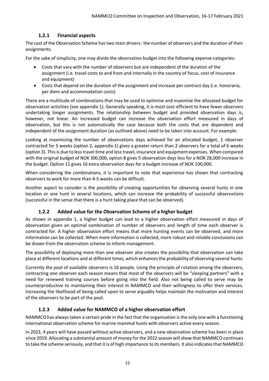## **1.2.1 Financial aspects**

The cost of the Observation Scheme has two main drivers: the number of observers and the duration of their assignments.

For the sake of simplicity, one may divide the observation budget into the following expense categories:

- Costs that vary with the number of observers but are independent of the duration of the assignment (i.e. travel costs to and from and internally in the country of focus, cost of insurance and equipment)
- Costs that depend on the duration of the assignment and increase per contract day (i.e. honoraria, per diem and accommodation costs)

There are a multitude of combinations that may be used to optimise and maximise the allocated budget for observation activities (see appendix 1). Generally speaking, it is most cost-efficient to have fewer observers undertaking longer assignments. The relationship between budget and provided observation days is, however, not linear. An increased budget can increase the observation effort measured in days of observation, but this is not automatically the case because both the costs that are dependent and independent of the assignment duration (as outlined above) need to be taken into account. For example:

Looking at maximising the number of observations days achieved for an allocated budget, 1 observer contracted for 5 weeks (option 2, appendix 1) gives a greater return than 2 observers for a total of 6 weeks (option 3). This is due to less travel time and less travel, insurance and equipment expenses. When compared with the original budget of NOK 300,000, option 8 gives 5 observation days less for a NOK 28,000 increase in the budget. Option 11 gives 16 extra observation days for a budget increase of NOK 100,000.

When considering the combinations, it is important to note that experience has shown that contracting observers to work for more than 4-5 weeks can be difficult.

Another aspect to consider is the possibility of creating opportunities for observing several hunts in one location or one hunt in several locations, which can increase the probability of successful observations (successful in the sense that there is a hunt taking place that can be observed).

## **1.2.2 Added value for the Observation Scheme of a higher budget**

As shown in appendix 1, a higher budget can lead to a higher observation effort measured in days of observation given an optimal combination of number of observers and length of time each observer is contracted for. A higher observation effort means that more hunting events can be observed, and more information can be collected. When more information is collected, more robust and reliable conclusions can be drawn from the observation scheme to inform management.

The possibility of deploying more than one observer also creates the possibility that observation can take place at different locations and at different times, which enhances the probability of observing several hunts.

Currently the pool of available observers is 16 people. Using the principle of rotation among the observers, contracting one observer each season means that most of the observers will be "sleeping partners" with a need for renewed training courses before going into the field. Also not being called to serve may be counterproductive to maintaining their interest in NAMMCO and their willingness to offer their services. Increasing the likelihood of being called upon to serve arguably helps maintain the motivation and interest of the observers to be part of the pool.

## **1.2.3 Added value for NAMMCO of a higher observation effort**

NAMMCO has always taken a certain pride in the fact that the organisation is the only one with a functioning international observation scheme for marine mammal hunts with observers active every season.

In 2022, 4 years will have passed without active observers, and a new observation scheme has been in place since 2019. Allocating a substantial amount of money for the 2022 season will show that NAMMCO continues to take the scheme seriously, and that it is of high importance to its members. It also indicates that NAMMCO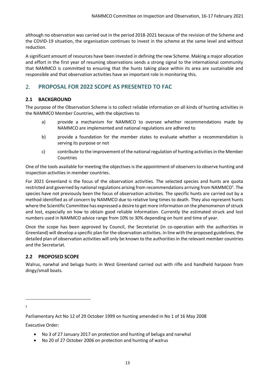although no observation was carried out in the period 2018-2021 because of the revision of the Scheme and the COVID-19 situation, the organisation continues to invest in the scheme at the same level and without reduction.

A significant amount of resources have been invested in defining the new Scheme. Making a major allocation and effort in the first year of resuming observations sends a strong signal to the international community that NAMMCO is committed to ensuring that the hunts taking place within its area are sustainable and responsible and that observation activities have an important role in monitoring this.

## 2. **PROPOSAL FOR 2022 SCOPE AS PRESENTED TO FAC**

## **2.1 BACKGROUND**

The purpose of the Observation Scheme is to collect reliable information on all kinds of hunting activities in the NAMMCO Member Countries, with the objectives to

- a) provide a mechanism for NAMMCO to oversee whether recommendations made by NAMMCO are implemented and national regulations are adhered to
- b) provide a foundation for the member states to evaluate whether a recommendation is serving its purpose or not
- c) contribute to the improvement of the national regulation of hunting activities in the Member Countries

One of the tools available for meeting the objectives is the appointment of observers to observe hunting and inspection activities in member countries.

For 2021 Greenland is the focus of the observation activities. The selected species and hunts are quota restricted and governed by national regulations arising from recommendations arriving from NAMMCO<sup>1</sup>. The species have not previously been the focus of observation activities. The specific hunts are carried out by a method identified as of concern by NAMMCO due to relative long times to death. They also represent hunts where the Scientific Committee has expressed a desire to get more information on the phenomenon of struck and lost, especially on how to obtain good reliable information. Currently the estimated struck and lost numbers used in NAMMCO advice range from 10% to 30% depending on hunt and time of year.

Once the scope has been approved by Council, the Secretariat (in co-operation with the authorities in Greenland) will develop a specific plan for the observation activities. In line with the proposed guidelines, the detailed plan of observation activities will only be known to the authorities in the relevant member countries and the Secretariat.

## **2.2 PROPOSED SCOPE**

Walrus, narwhal and beluga hunts in West Greenland carried out with rifle and handheld harpoon from dingy/small boats.

1

Executive Order:

- No 3 of 27 January 2017 on protection and hunting of beluga and narwhal
- No 20 of 27 October 2006 on protection and hunting of walrus

Parliamentary Act No 12 of 29 October 1999 on hunting amended in No 1 of 16 May 2008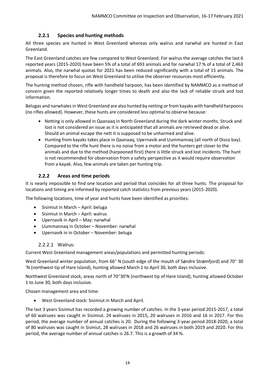## **2.2.1 Species and hunting methods**

All three species are hunted in West Greenland whereas only walrus and narwhal are hunted in East Greenland.

The East Greenland catches are few compared to West Greenland. For walrus the average catches the last 6 reported years (2015-2020) have been 5% of a total of 693 animals and for narwhal 17 % of a total of 2,463 animals. Also, the narwhal quotas for 2021 has been reduced significantly with a total of 15 animals. The proposal is therefore to focus on West Greenland to utilise the observer resources most efficiently.

The hunting method chosen, rifle with handheld harpoon, has been identified by NAMMCO as a method of concern given the reported relatively longer times to death and also the lack of reliable struck and lost information.

Belugas and narwhales in West Greenland are also hunted by netting or from kayaks with handheld harpoons (no rifles allowed). However, these hunts are considered less optimal to observe because:

- Netting is only allowed in Qaanaaq in North Greenland during the dark winter months. Struck and lost is not considered an issue as it is anticipated that all animals are retrieved dead or alive. Should an animal escape the nett it is supposed to be unharmed and alive.
- Hunting from kayaks takes place in Qaanaaq, Upernavik and Uummannaq (all north of Disco bay). Compared to the rifle hunt there is no noise from a motor and the hunters get closer to the animals and due to the method (harpooned first) there is little struck and lost incidents. The hunt is not recommended for observation from a safety perspective as it would require observation from a kayak. Also, few animals are taken per hunting trip.

## **2.2.2 Areas and time periods**

It is nearly impossible to find one location and period that coincides for all three hunts. The proposal for locations and timing are informed by reported catch statistics from previous years (2015-2020).

The following locations, time of year and hunts have been identified as priorities:

- Sisimiut in March April: beluga
- Sisimiut in March April: walrus
- Upernavik in April May: narwhal
- Uummannaq in October November: narwhal
- Upernavik in in October November: beluga

## 2.2.2.1 Walrus:

Current West Greenland management areas/populations and permitted hunting periods:

West Greenland winter population, from 66 $^{\circ}$  N (south edge of the mouth of Søndre Strømfjord) and 70 $^{\circ}$  30 'N (northwest tip of Hare Island), hunting allowed March 1 to April 30, both days inclusive.

Northwest Greenland stock, areas north of 70°30'N (northwest tip of Hare Island), hunting allowed October 1 to June 30, both days inclusive.

Chosen management area and time:

• West Greenland stock: Sisimiut in March and April.

The last 3 years Sisimiut has recorded a growing number of catches. In the 3-year period 2015-2017, a total of 60 walruses was caught in Sisimiut. 24 walruses in 2015, 20 walruses in 2016 and 16 in 2017. For this period, the average number of annual catches is 20. During the following 3-year period 2018-2020, a total of 80 walruses was caught in Sismiut, 28 walruses in 2018 and 26 walruses in both 2019 and 2020. For this period, the average number of annual catches is 26.7. This is a growth of 34 %.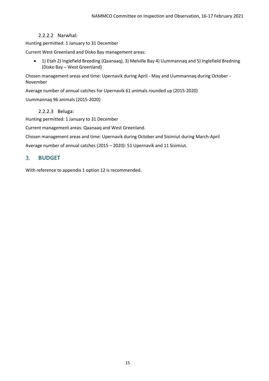## 2.2.2.2 Narwhal:

Hunting permitted: 1 January to 31 December

Current West Greenland and Disko Bay management areas:

• 1) Etah 2) Inglefield Breeding (Qaanaaq), 3) Melville Bay 4) Uummannaq and 5) Inglefield Bredning (Disko Bay – West Greenland)

Chosen management areas and time: Upernavik during April - May and Uummannaq during October - November

Average number of annual catches for Upernavik 61 animals rounded up (2015-2020)

Uummannaq 96 animals (2015-2020)

2.2.2.3 Beluga:

Hunting permitted: 1 January to 31 December

Current management areas: Qaanaaq and West Greenland.

Chosen management areas and time: Upernavik during October and Sisimiut during March-April

Average number of annual catches (2015 – 2020): 51 Upernavik and 11 Sisimiut.

## 3. **BUDGET**

With reference to appendix 1 option 12 is recommended.